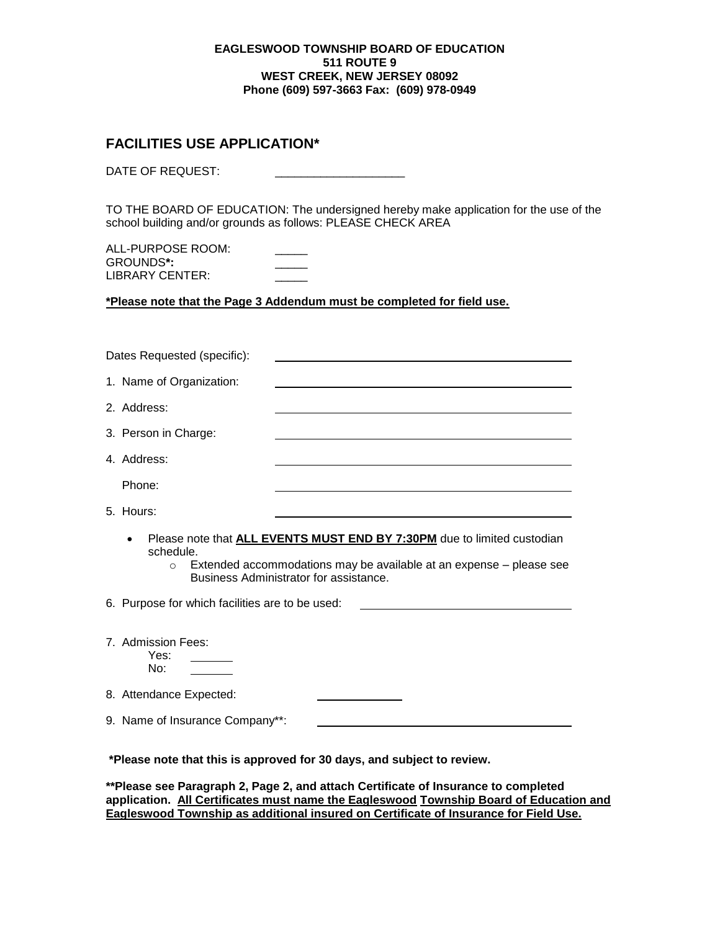#### **EAGLESWOOD TOWNSHIP BOARD OF EDUCATION 511 ROUTE 9 WEST CREEK, NEW JERSEY 08092 Phone (609) 597-3663 Fax: (609) 978-0949**

## **FACILITIES USE APPLICATION\***

DATE OF REQUEST:

TO THE BOARD OF EDUCATION: The undersigned hereby make application for the use of the school building and/or grounds as follows: PLEASE CHECK AREA

ALL-PURPOSE ROOM: GROUNDS**\*:** \_\_\_\_\_ LIBRARY CENTER:

**\*Please note that the Page 3 Addendum must be completed for field use.**

|                                                                                                                                                                                                                                      | Dates Requested (specific):                     |                                                                                                                 |  |  |  |
|--------------------------------------------------------------------------------------------------------------------------------------------------------------------------------------------------------------------------------------|-------------------------------------------------|-----------------------------------------------------------------------------------------------------------------|--|--|--|
|                                                                                                                                                                                                                                      | 1. Name of Organization:                        |                                                                                                                 |  |  |  |
|                                                                                                                                                                                                                                      | 2. Address:                                     |                                                                                                                 |  |  |  |
|                                                                                                                                                                                                                                      | 3. Person in Charge:                            |                                                                                                                 |  |  |  |
|                                                                                                                                                                                                                                      | 4. Address:                                     | the contract of the contract of the contract of the contract of the contract of the contract of the contract of |  |  |  |
|                                                                                                                                                                                                                                      | Phone:                                          |                                                                                                                 |  |  |  |
|                                                                                                                                                                                                                                      | 5. Hours:                                       |                                                                                                                 |  |  |  |
| Please note that <b>ALL EVENTS MUST END BY 7:30PM</b> due to limited custodian<br>$\bullet$<br>schedule.<br>Extended accommodations may be available at an expense - please see<br>$\circ$<br>Business Administrator for assistance. |                                                 |                                                                                                                 |  |  |  |
|                                                                                                                                                                                                                                      | 6. Purpose for which facilities are to be used: | <u> 1989 - Johann Barbara, martin a</u>                                                                         |  |  |  |
|                                                                                                                                                                                                                                      | 7. Admission Fees:<br>Yes:<br>No:               |                                                                                                                 |  |  |  |
|                                                                                                                                                                                                                                      | 8. Attendance Expected:                         |                                                                                                                 |  |  |  |
|                                                                                                                                                                                                                                      | 9. Name of Insurance Company**:                 |                                                                                                                 |  |  |  |
| *Please note that this is approved for 30 days, and subject to review.                                                                                                                                                               |                                                 |                                                                                                                 |  |  |  |

**\*\*Please see Paragraph 2, Page 2, and attach Certificate of Insurance to completed application. All Certificates must name the Eagleswood Township Board of Education and Eagleswood Township as additional insured on Certificate of Insurance for Field Use.**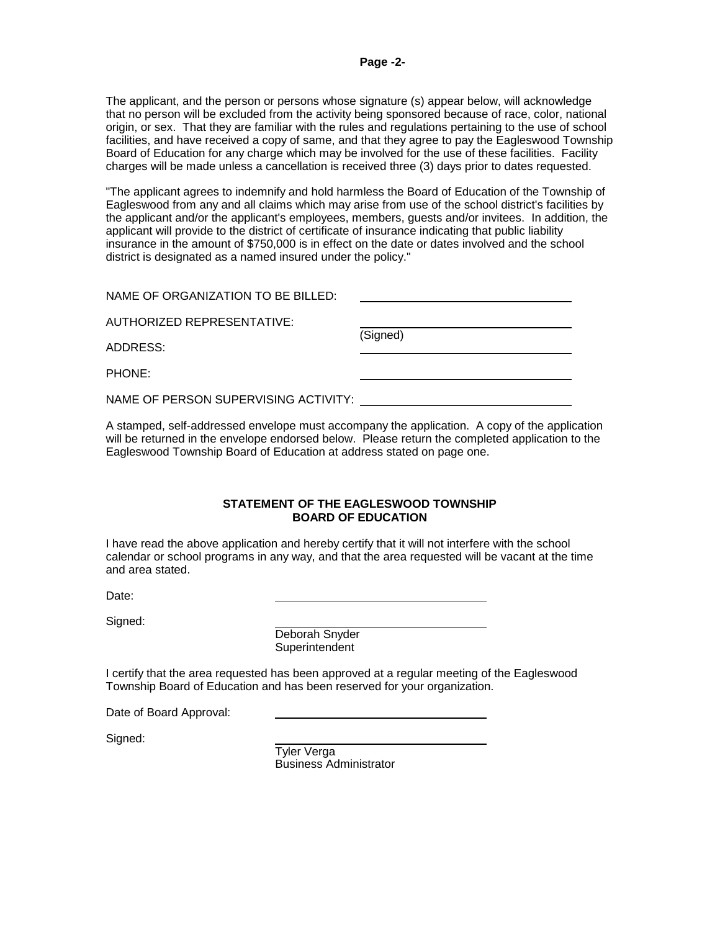The applicant, and the person or persons whose signature (s) appear below, will acknowledge that no person will be excluded from the activity being sponsored because of race, color, national origin, or sex. That they are familiar with the rules and regulations pertaining to the use of school facilities, and have received a copy of same, and that they agree to pay the Eagleswood Township Board of Education for any charge which may be involved for the use of these facilities. Facility charges will be made unless a cancellation is received three (3) days prior to dates requested.

"The applicant agrees to indemnify and hold harmless the Board of Education of the Township of Eagleswood from any and all claims which may arise from use of the school district's facilities by the applicant and/or the applicant's employees, members, guests and/or invitees. In addition, the applicant will provide to the district of certificate of insurance indicating that public liability insurance in the amount of \$750,000 is in effect on the date or dates involved and the school district is designated as a named insured under the policy."

| NAME OF ORGANIZATION TO BE BILLED: |          |  |
|------------------------------------|----------|--|
| AUTHORIZED REPRESENTATIVE:         |          |  |
| ADDRESS:                           | (Signed) |  |

PHONE:

NAME OF PERSON SUPERVISING ACTIVITY:

A stamped, self-addressed envelope must accompany the application. A copy of the application will be returned in the envelope endorsed below. Please return the completed application to the Eagleswood Township Board of Education at address stated on page one.

#### **STATEMENT OF THE EAGLESWOOD TOWNSHIP BOARD OF EDUCATION**

I have read the above application and hereby certify that it will not interfere with the school calendar or school programs in any way, and that the area requested will be vacant at the time and area stated.

Date:

Signed:

Deborah Snyder **Superintendent** 

I certify that the area requested has been approved at a regular meeting of the Eagleswood Township Board of Education and has been reserved for your organization.

Date of Board Approval:

Signed:

 Tyler Verga Business Administrator